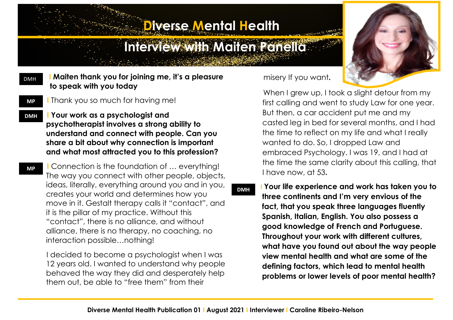## **Diverse Mental Health**

## **Interview with Maiten Panella**

 **I Maiten thank you for joining me, it's a pleasure to speak with you today** DMH

**MP**

**MP**

ı

- **I** Thank you so much for having me!
- **I Your work as a psychologist and psychotherapist involves a strong ability to understand and connect with people. Can you share a bit about why connection is important and what most attracted you to this profession? DMH**

 **I** Connection is the foundation of … everything! The way you connect with other people, objects, ideas, literally, everything around you and in you, creates your world and determines how you move in it. Gestalt therapy calls it "contact", and it is the pillar of my practice. Without this "contact", there is no alliance, and without alliance, there is no therapy, no coaching, no interaction possible…nothing!

 I decided to become a psychologist when I was 12 years old. I wanted to understand why people behaved the way they did and desperately help them out, be able to "free them" from their



When I grew up, I took a slight detour from my first calling and went to study Law for one year. But then, a car accident put me and my casted leg in bed for several months, and I had the time to reflect on my life and what I really wanted to do. So, I dropped Law and embraced Psychology. I was 19, and I had at the time the same clarity about this calling, that I have now, at 53**.** 

 **I Your life experience and work has taken you to three continents and I'm very envious of the fact, that you speak three languages fluently Spanish, Italian, English. You also possess a good knowledge of French and Portuguese. Throughout your work with different cultures, what have you found out about the way people view mental health and what are some of the defining factors, which lead to mental health problems or lower levels of poor mental health? DMH**

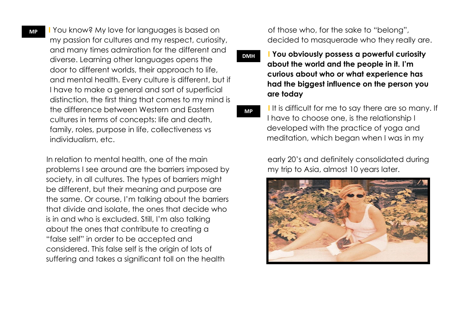**I** You know? My love for languages is based on my passion for cultures and my respect, curiosity, and many times admiration for the different and diverse. Learning other languages opens the door to different worlds, their approach to life, and mental health. Every culture is different, but if I have to make a general and sort of superficial distinction, the first thing that comes to my mind is the difference between Western and Eastern cultures in terms of concepts: life and death, family, roles, purpose in life, collectiveness vs individualism, etc.

 In relation to mental health, one of the main problems I see around are the barriers imposed by society, in all cultures. The types of barriers might be different, but their meaning and purpose are the same. Or course, I'm talking about the barriers that divide and isolate, the ones that decide who is in and who is excluded. Still, I'm also talking about the ones that contribute to creating a "false self" in order to be accepted and considered. This false self is the origin of lots of suffering and takes a significant toll on the health

 of those who, for the sake to "belong", decided to masquerade who they really are.

 **I You obviously possess a powerful curiosity about the world and the people in it. I'm curious about who or what experience has had the biggest influence on the person you are today DMH**

**MP**

**I** It is difficult for me to say there are so many. If I have to choose one, is the relationship I developed with the practice of yoga and meditation, which began when I was in my

early 20's and definitely consolidated during my trip to Asia, almost 10 years later.

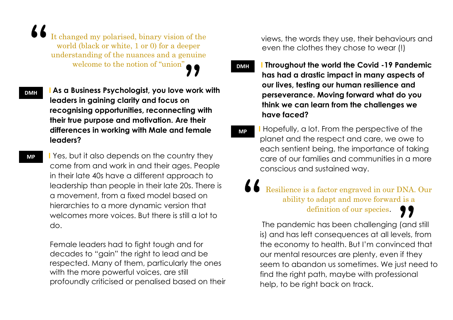It changed my polarised, binary vision of the world (black or white, 1 or 0) for a deeper understanding of the nuances and a genuine welcome to the notion of "union" **DMH** 

 **I As a Business Psychologist, you love work with leaders in gaining clarity and focus on recognising opportunities, reconnecting with their true purpose and motivation. Are their differences in working with Male and female leaders? DMH**

> **I** Yes, but it also depends on the country they come from and work in and their ages. People in their late 40s have a different approach to leadership than people in their late 20s. There is a movement, from a fixed model based on hierarchies to a more dynamic version that welcomes more voices. But there is still a lot to do.

Female leaders had to fight tough and for decades to "gain" the right to lead and be respected. Many of them, particularly the ones with the more powerful voices, are still profoundly criticised or penalised based on their views, the words they use, their behaviours and even the clothes they chose to wear (!)

 **I Throughout the world the Covid -19 Pandemic has had a drastic impact in many aspects of our lives, testing our human resilience and perseverance. Moving forward what do you think we can learn from the challenges we have faced?**

 **I** Hopefully, a lot. From the perspective of the planet and the respect and care, we owe to each sentient being, the importance of taking care of our families and communities in a more conscious and sustained way. **MP**

Resilience is a factor engraved in our DNA. Our ability to adapt and move forward is a definition of our species.

The pandemic has been challenging (and still is) and has left consequences at all levels, from the economy to health. But I'm convinced that our mental resources are plenty, even if they seem to abandon us sometimes. We just need to find the right path, maybe with professional help, to be right back on track.

 $\mathbf{1}$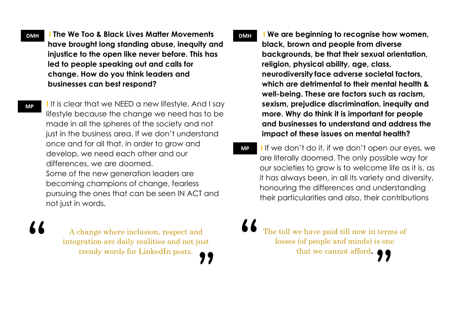**DMH | I** The We Too & Black Lives Matter Movements  $\blacksquare$ **have brought long standing abuse, inequity and injustice to the open like never before. This has led to people speaking out and calls for change. How do you think leaders and businesses can best respond?** 

**MP**

77

not just in words.

**I** It is clear that we NEED a new lifestyle. And I say lifestyle because the change we need has to be made in all the spheres of the society and not just in the business area. If we don't understand once and for all that, in order to grow and develop, we need each other and our differences, we are doomed. Some of the new generation leaders are becoming champions of change, fearless pursuing the ones that can be seen IN ACT and

A change where inclusion, respect and integration are daily realities and not just trendy words for LinkedIn posts.

**EXAMPLE I** We are beginning to recognise how women, **black, brown and people from diverse backgrounds, be that their sexual orientation, religion, physical ability, age, class, neurodiversity face adverse societal factors, which are detrimental to their mental health & well-being. These are factors such as racism, sexism, prejudice discrimination, inequity and more. Why do think it is important for people and businesses to understand and address the impact of these issues on mental health?**

 **I** If we don't do it, if we don't open our eyes, we are literally doomed. The only possible way for our societies to grow is to welcome life as it is, as it has always been, in all its variety and diversity, honouring the differences and understanding their particularities and also, their contributions **MP**

The toll we have paid till now in terms of losses (of people and minds) is one that we cannot afford**.**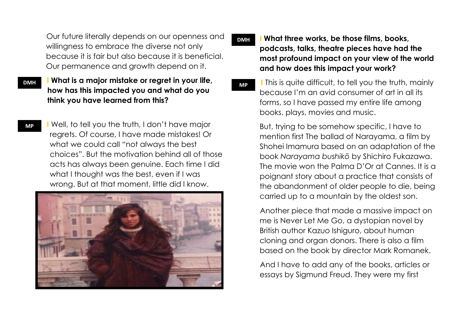Our future literally depends on our openness and willingness to embrace the diverse not only because it is fair but also because it is beneficial. Our permanence and growth depend on it.

- **I What is a major mistake or regret in your life, how has this impacted you and what do you think you have learned from this? DMH**
	- **I** Well, to tell you the truth, I don't have major regrets. Of course, I have made mistakes! Or what we could call "not always the best choices". But the motivation behind all of those acts has always been genuine. Each time I did what I thought was the best, even if I was wrong. But at that moment, little did I know.



- **I What three works, be those films, books, podcasts, talks, theatre pieces have had the most profound impact on your view of the world and how does this impact your work? DMH**
	- **I** This is quite difficult, to tell you the truth, mainly because I'm an avid consumer of art in all its forms, so I have passed my entire life among books, plays, movies and music. **MP**

But, trying to be somehow specific, I have to mention first The ballad of Narayama, a film by Shohei Imamura based on an adaptation of the book *Narayama bushikō* by Shichiro Fukazawa. The movie won the Palma D'Or at Cannes. It is a poignant story about a practice that consists of the abandonment of older people to die, being carried up to a mountain by the oldest son.

 Another piece that made a massive impact on me is Never Let Me Go, a dystopian novel by British author Kazuo Ishiguro, about human cloning and organ donors. There is also a film based on the book by director Mark Romanek.

 And I have to add any of the books, articles or essays by Sigmund Freud. They were my first

## **MP**